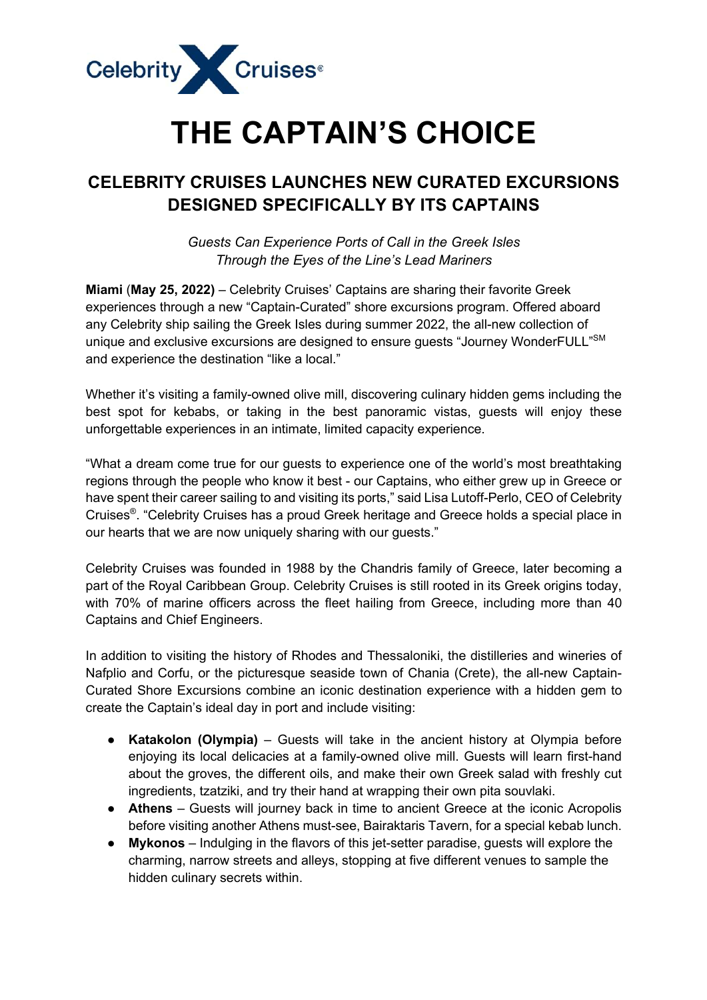

## **THE CAPTAIN'S CHOICE**

## **CELEBRITY CRUISES LAUNCHES NEW CURATED EXCURSIONS DESIGNED SPECIFICALLY BY ITS CAPTAINS**

*Guests Can Experience Ports of Call in the Greek Isles Through the Eyes of the Line's Lead Mariners*

**Miami** (**May 25, 2022)** – Celebrity Cruises' Captains are sharing their favorite Greek experiences through a new "Captain-Curated" shore excursions program. Offered aboard any Celebrity ship sailing the Greek Isles during summer 2022, the all-new collection of unique and exclusive excursions are designed to ensure guests "Journey WonderFULL"<sup>SM</sup> and experience the destination "like a local."

Whether it's visiting a family-owned olive mill, discovering culinary hidden gems including the best spot for kebabs, or taking in the best panoramic vistas, guests will enjoy these unforgettable experiences in an intimate, limited capacity experience.

"What a dream come true for our guests to experience one of the world's most breathtaking regions through the people who know it best - our Captains, who either grew up in Greece or have spent their career sailing to and visiting its ports," said Lisa Lutoff-Perlo, CEO of Celebrity Cruises®. "Celebrity Cruises has a proud Greek heritage and Greece holds a special place in our hearts that we are now uniquely sharing with our guests."

Celebrity Cruises was founded in 1988 by the Chandris family of Greece, later becoming a part of the Royal Caribbean Group. Celebrity Cruises is still rooted in its Greek origins today, with 70% of marine officers across the fleet hailing from Greece, including more than 40 Captains and Chief Engineers.

In addition to visiting the history of Rhodes and Thessaloniki, the distilleries and wineries of Nafplio and Corfu, or the picturesque seaside town of Chania (Crete), the all-new Captain-Curated Shore Excursions combine an iconic destination experience with a hidden gem to create the Captain's ideal day in port and include visiting:

- **Katakolon (Olympia)** Guests will take in the ancient history at Olympia before enjoying its local delicacies at a family-owned olive mill. Guests will learn first-hand about the groves, the different oils, and make their own Greek salad with freshly cut ingredients, tzatziki, and try their hand at wrapping their own pita souvlaki.
- **Athens** Guests will journey back in time to ancient Greece at the iconic Acropolis before visiting another Athens must-see, Bairaktaris Tavern, for a special kebab lunch.
- **Mykonos** Indulging in the flavors of this jet-setter paradise, guests will explore the charming, narrow streets and alleys, stopping at five different venues to sample the hidden culinary secrets within.